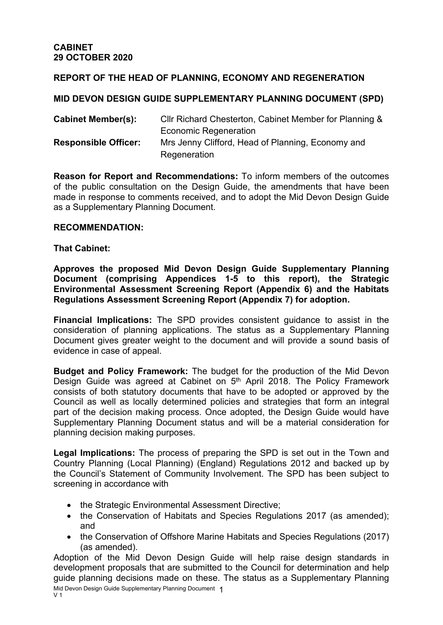## **REPORT OF THE HEAD OF PLANNING, ECONOMY AND REGENERATION**

## **MID DEVON DESIGN GUIDE SUPPLEMENTARY PLANNING DOCUMENT (SPD)**

| <b>Cabinet Member(s):</b>   | CIIr Richard Chesterton, Cabinet Member for Planning & |
|-----------------------------|--------------------------------------------------------|
|                             | <b>Economic Regeneration</b>                           |
| <b>Responsible Officer:</b> | Mrs Jenny Clifford, Head of Planning, Economy and      |
|                             | Regeneration                                           |

**Reason for Report and Recommendations:** To inform members of the outcomes of the public consultation on the Design Guide, the amendments that have been made in response to comments received, and to adopt the Mid Devon Design Guide as a Supplementary Planning Document.

### **RECOMMENDATION:**

#### **That Cabinet:**

**Approves the proposed Mid Devon Design Guide Supplementary Planning Document (comprising Appendices 1-5 to this report), the Strategic Environmental Assessment Screening Report (Appendix 6) and the Habitats Regulations Assessment Screening Report (Appendix 7) for adoption.**

**Financial Implications:** The SPD provides consistent guidance to assist in the consideration of planning applications. The status as a Supplementary Planning Document gives greater weight to the document and will provide a sound basis of evidence in case of appeal.

**Budget and Policy Framework:** The budget for the production of the Mid Devon Design Guide was agreed at Cabinet on 5<sup>th</sup> April 2018. The Policy Framework consists of both statutory documents that have to be adopted or approved by the Council as well as locally determined policies and strategies that form an integral part of the decision making process. Once adopted, the Design Guide would have Supplementary Planning Document status and will be a material consideration for planning decision making purposes.

**Legal Implications:** The process of preparing the SPD is set out in the Town and Country Planning (Local Planning) (England) Regulations 2012 and backed up by the Council's Statement of Community Involvement. The SPD has been subject to screening in accordance with

- the Strategic Environmental Assessment Directive;
- the Conservation of Habitats and Species Regulations 2017 (as amended); and
- the Conservation of Offshore Marine Habitats and Species Regulations (2017) (as amended).

Mid Devon Design Guide Supplementary Planning Document 1 V 1 Adoption of the Mid Devon Design Guide will help raise design standards in development proposals that are submitted to the Council for determination and help guide planning decisions made on these. The status as a Supplementary Planning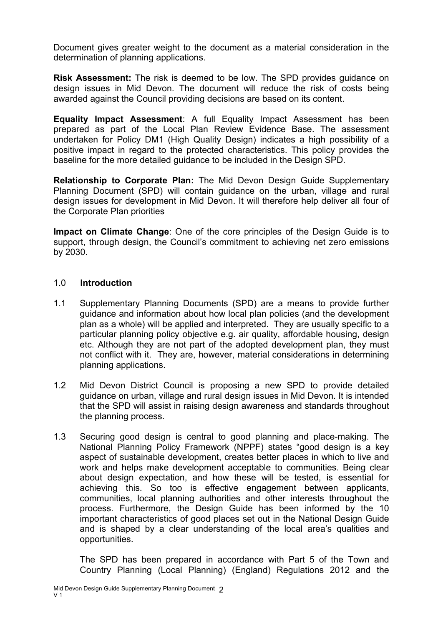Document gives greater weight to the document as a material consideration in the determination of planning applications.

**Risk Assessment:** The risk is deemed to be low. The SPD provides guidance on design issues in Mid Devon. The document will reduce the risk of costs being awarded against the Council providing decisions are based on its content.

**Equality Impact Assessment**: A full Equality Impact Assessment has been prepared as part of the Local Plan Review Evidence Base. The assessment undertaken for Policy DM1 (High Quality Design) indicates a high possibility of a positive impact in regard to the protected characteristics. This policy provides the baseline for the more detailed guidance to be included in the Design SPD.

**Relationship to Corporate Plan:** The Mid Devon Design Guide Supplementary Planning Document (SPD) will contain guidance on the urban, village and rural design issues for development in Mid Devon. It will therefore help deliver all four of the Corporate Plan priorities

**Impact on Climate Change**: One of the core principles of the Design Guide is to support, through design, the Council's commitment to achieving net zero emissions by 2030.

## 1.0 **Introduction**

- 1.1 Supplementary Planning Documents (SPD) are a means to provide further guidance and information about how local plan policies (and the development plan as a whole) will be applied and interpreted. They are usually specific to a particular planning policy objective e.g. air quality, affordable housing, design etc. Although they are not part of the adopted development plan, they must not conflict with it. They are, however, material considerations in determining planning applications.
- 1.2 Mid Devon District Council is proposing a new SPD to provide detailed guidance on urban, village and rural design issues in Mid Devon. It is intended that the SPD will assist in raising design awareness and standards throughout the planning process.
- 1.3 Securing good design is central to good planning and place-making. The National Planning Policy Framework (NPPF) states "good design is a key aspect of sustainable development, creates better places in which to live and work and helps make development acceptable to communities. Being clear about design expectation, and how these will be tested, is essential for achieving this. So too is effective engagement between applicants, communities, local planning authorities and other interests throughout the process. Furthermore, the Design Guide has been informed by the 10 important characteristics of good places set out in the National Design Guide and is shaped by a clear understanding of the local area's qualities and opportunities.

The SPD has been prepared in accordance with Part 5 of the Town and Country Planning (Local Planning) (England) Regulations 2012 and the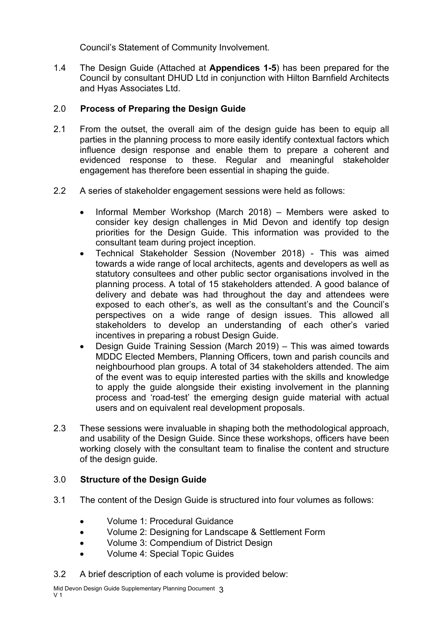Council's Statement of Community Involvement.

1.4 The Design Guide (Attached at **Appendices 1-5**) has been prepared for the Council by consultant DHUD Ltd in conjunction with Hilton Barnfield Architects and Hyas Associates Ltd.

# 2.0 **Process of Preparing the Design Guide**

- 2.1 From the outset, the overall aim of the design guide has been to equip all parties in the planning process to more easily identify contextual factors which influence design response and enable them to prepare a coherent and evidenced response to these. Regular and meaningful stakeholder engagement has therefore been essential in shaping the guide.
- 2.2 A series of stakeholder engagement sessions were held as follows:
	- Informal Member Workshop (March 2018) Members were asked to consider key design challenges in Mid Devon and identify top design priorities for the Design Guide. This information was provided to the consultant team during project inception.
	- Technical Stakeholder Session (November 2018) This was aimed towards a wide range of local architects, agents and developers as well as statutory consultees and other public sector organisations involved in the planning process. A total of 15 stakeholders attended. A good balance of delivery and debate was had throughout the day and attendees were exposed to each other's, as well as the consultant's and the Council's perspectives on a wide range of design issues. This allowed all stakeholders to develop an understanding of each other's varied incentives in preparing a robust Design Guide.
	- Design Guide Training Session (March 2019) This was aimed towards MDDC Elected Members, Planning Officers, town and parish councils and neighbourhood plan groups. A total of 34 stakeholders attended. The aim of the event was to equip interested parties with the skills and knowledge to apply the guide alongside their existing involvement in the planning process and 'road-test' the emerging design guide material with actual users and on equivalent real development proposals.
- 2.3 These sessions were invaluable in shaping both the methodological approach, and usability of the Design Guide. Since these workshops, officers have been working closely with the consultant team to finalise the content and structure of the design guide.

# 3.0 **Structure of the Design Guide**

- 3.1 The content of the Design Guide is structured into four volumes as follows:
	- Volume 1: Procedural Guidance
	- Volume 2: Designing for Landscape & Settlement Form
	- Volume 3: Compendium of District Design
	- Volume 4: Special Topic Guides
- 3.2 A brief description of each volume is provided below: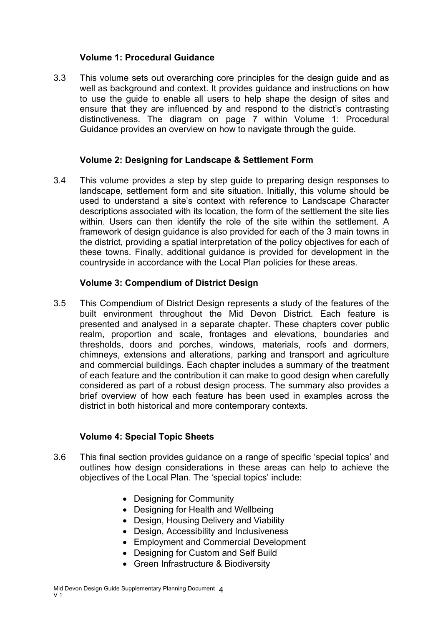## **Volume 1: Procedural Guidance**

3.3 This volume sets out overarching core principles for the design guide and as well as background and context. It provides guidance and instructions on how to use the guide to enable all users to help shape the design of sites and ensure that they are influenced by and respond to the district's contrasting distinctiveness. The diagram on page 7 within Volume 1: Procedural Guidance provides an overview on how to navigate through the guide.

### **Volume 2: Designing for Landscape & Settlement Form**

3.4 This volume provides a step by step guide to preparing design responses to landscape, settlement form and site situation. Initially, this volume should be used to understand a site's context with reference to Landscape Character descriptions associated with its location, the form of the settlement the site lies within. Users can then identify the role of the site within the settlement. A framework of design guidance is also provided for each of the 3 main towns in the district, providing a spatial interpretation of the policy objectives for each of these towns. Finally, additional guidance is provided for development in the countryside in accordance with the Local Plan policies for these areas.

## **Volume 3: Compendium of District Design**

3.5 This Compendium of District Design represents a study of the features of the built environment throughout the Mid Devon District. Each feature is presented and analysed in a separate chapter. These chapters cover public realm, proportion and scale, frontages and elevations, boundaries and thresholds, doors and porches, windows, materials, roofs and dormers, chimneys, extensions and alterations, parking and transport and agriculture and commercial buildings. Each chapter includes a summary of the treatment of each feature and the contribution it can make to good design when carefully considered as part of a robust design process. The summary also provides a brief overview of how each feature has been used in examples across the district in both historical and more contemporary contexts.

## **Volume 4: Special Topic Sheets**

- 3.6 This final section provides guidance on a range of specific 'special topics' and outlines how design considerations in these areas can help to achieve the objectives of the Local Plan. The 'special topics' include:
	- Designing for Community
	- Designing for Health and Wellbeing
	- Design, Housing Delivery and Viability
	- Design, Accessibility and Inclusiveness
	- Employment and Commercial Development
	- Designing for Custom and Self Build
	- Green Infrastructure & Biodiversity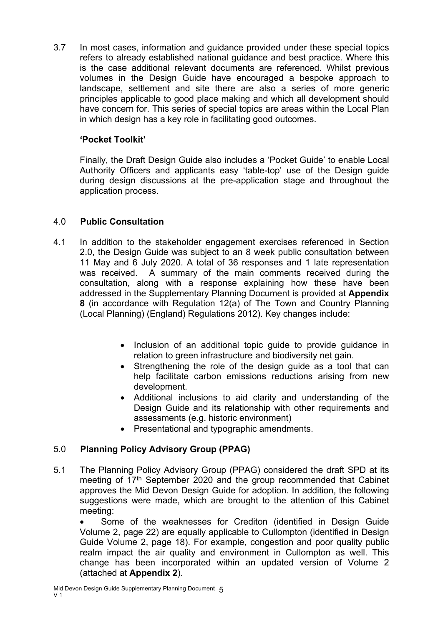3.7 In most cases, information and guidance provided under these special topics refers to already established national guidance and best practice. Where this is the case additional relevant documents are referenced. Whilst previous volumes in the Design Guide have encouraged a bespoke approach to landscape, settlement and site there are also a series of more generic principles applicable to good place making and which all development should have concern for. This series of special topics are areas within the Local Plan in which design has a key role in facilitating good outcomes.

# **'Pocket Toolkit'**

Finally, the Draft Design Guide also includes a 'Pocket Guide' to enable Local Authority Officers and applicants easy 'table-top' use of the Design guide during design discussions at the pre-application stage and throughout the application process.

# 4.0 **Public Consultation**

- 4.1 In addition to the stakeholder engagement exercises referenced in Section 2.0, the Design Guide was subject to an 8 week public consultation between 11 May and 6 July 2020. A total of 36 responses and 1 late representation was received. A summary of the main comments received during the consultation, along with a response explaining how these have been addressed in the Supplementary Planning Document is provided at **Appendix 8** (in accordance with Regulation 12(a) of The Town and Country Planning (Local Planning) (England) Regulations 2012). Key changes include:
	- Inclusion of an additional topic guide to provide guidance in relation to green infrastructure and biodiversity net gain.
	- Strengthening the role of the design guide as a tool that can help facilitate carbon emissions reductions arising from new development.
	- Additional inclusions to aid clarity and understanding of the Design Guide and its relationship with other requirements and assessments (e.g. historic environment)
	- Presentational and typographic amendments.

# 5.0 **Planning Policy Advisory Group (PPAG)**

5.1 The Planning Policy Advisory Group (PPAG) considered the draft SPD at its meeting of 17<sup>th</sup> September 2020 and the group recommended that Cabinet approves the Mid Devon Design Guide for adoption. In addition, the following suggestions were made, which are brought to the attention of this Cabinet meeting:

• Some of the weaknesses for Crediton (identified in Design Guide Volume 2, page 22) are equally applicable to Cullompton (identified in Design Guide Volume 2, page 18). For example, congestion and poor quality public realm impact the air quality and environment in Cullompton as well. This change has been incorporated within an updated version of Volume 2 (attached at **Appendix 2**).